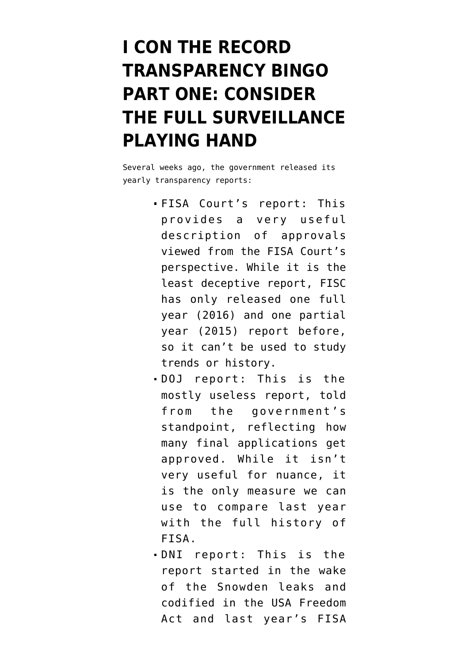## **[I CON THE RECORD](https://www.emptywheel.net/2018/05/14/i-con-the-record-transparency-report-part-one-consider-the-full-surveillance-playing-hand/) [TRANSPARENCY BINGO](https://www.emptywheel.net/2018/05/14/i-con-the-record-transparency-report-part-one-consider-the-full-surveillance-playing-hand/) [PART ONE: CONSIDER](https://www.emptywheel.net/2018/05/14/i-con-the-record-transparency-report-part-one-consider-the-full-surveillance-playing-hand/) [THE FULL SURVEILLANCE](https://www.emptywheel.net/2018/05/14/i-con-the-record-transparency-report-part-one-consider-the-full-surveillance-playing-hand/) [PLAYING HAND](https://www.emptywheel.net/2018/05/14/i-con-the-record-transparency-report-part-one-consider-the-full-surveillance-playing-hand/)**

Several weeks ago, the government released its yearly transparency reports:

- [FISA Court's report](https://assets.documentcloud.org/documents/4446927/FISA-court-annual-report-2017.pdf): This provides a very useful description of approvals viewed from the FISA Court's perspective. While it is the least deceptive report, FISC has only released [one full](http://www.uscourts.gov/sites/default/files/ao_foreign_int_surveillance_court_annual_report_2016_final_0.pdf) [year \(2016\)](http://www.uscourts.gov/sites/default/files/ao_foreign_int_surveillance_court_annual_report_2016_final_0.pdf) and [one partial](http://www.uscourts.gov/sites/default/files/fisc_annual_report_2015.pdf) [year \(2015\)](http://www.uscourts.gov/sites/default/files/fisc_annual_report_2015.pdf) report before, so it can't be used to study trends or history.
- [DOJ report](https://www.justice.gov/nsd/nsd-foia-library/2017fisa/download): This is the mostly useless report, told from the government's standpoint, reflecting how many final applications get approved. While it isn't very useful for nuance, it is the only measure we can use to compare last year with the full history of FISA.
- [DNI report](https://www.dni.gov/files/documents/icotr/2018-ASTR----CY2017----FINAL-for-Release-5.4.18.pdf): This is the report started in the wake of the Snowden leaks and codified in the USA Freedom Act and last year's FISA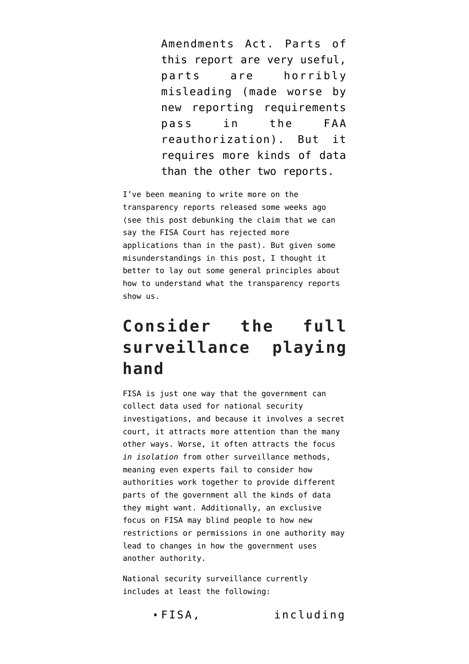Amendments Act. Parts of this report are very useful, parts are horribly misleading (made worse by new reporting requirements pass in the FAA reauthorization). But it requires more kinds of data than the other two reports.

I've been meaning to write more on the transparency reports released some weeks ago (see [this post](https://www.emptywheel.net/2018/05/04/contrary-to-reports-we-cannot-say-fisc-rejected-a-record-number-of-fisa-applications-last-year/) debunking the claim that we can say the FISA Court has rejected more applications than in the past). But given some misunderstandings [in this post,](https://www.justsecurity.org/56232/intel-communitys-annual-transparency-report-raises-questions-answers/) I thought it better to lay out some general principles about how to understand what the transparency reports show us.

## **Consider the full surveillance playing hand**

FISA is just one way that the government can collect data used for national security investigations, and because it involves a secret court, it attracts more attention than the many other ways. Worse, it often attracts the focus *in isolation* from other surveillance methods, meaning even experts fail to consider how authorities work together to provide different parts of the government all the kinds of data they might want. Additionally, an exclusive focus on FISA may blind people to how new restrictions or permissions in one authority may lead to changes in how the government uses another authority.

National security surveillance currently includes at least the following:

FISA, including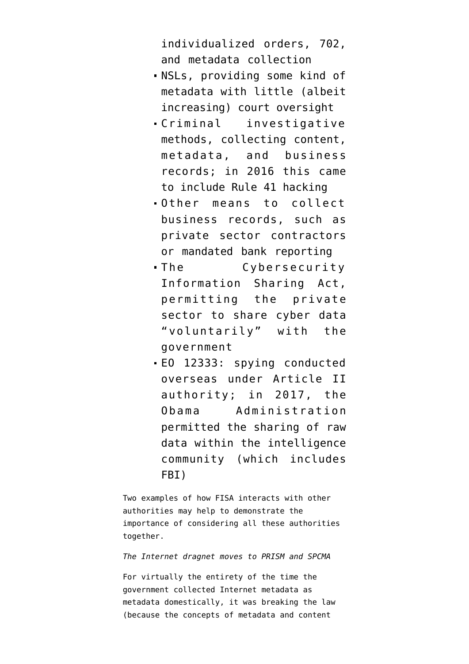individualized orders, 702, and metadata collection

- NSLs, providing some kind of metadata with little (albeit increasing) court oversight
- Criminal investigative methods, collecting content, metadata, and business records; in 2016 this came to include Rule 41 hacking
- Other means to collect business records, such as private sector contractors or mandated bank reporting
- The Cybersecurity Information Sharing Act, permitting the private sector to share cyber data "voluntarily" with the government
- EO 12333: spying conducted overseas under Article II authority; in 2017, the Obama Administration permitted the sharing of raw data within the intelligence community (which includes FBI)

Two examples of how FISA interacts with other authorities may help to demonstrate the importance of considering all these authorities together.

*The Internet dragnet moves to PRISM and SPCMA*

For virtually the entirety of the time the government collected Internet metadata as metadata domestically, it was breaking the law (because the concepts of metadata and content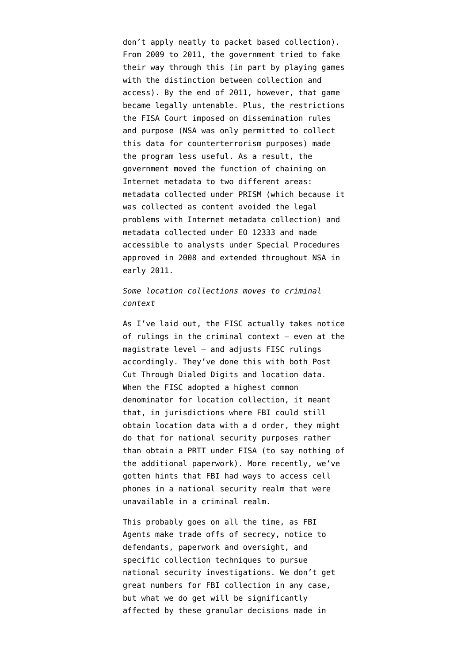don't apply neatly to packet based collection). From 2009 to 2011, the government tried to fake their way through this (in part by playing games with the distinction between collection and access). By the end of 2011, however, that game became legally untenable. Plus, the restrictions the FISA Court imposed on dissemination rules and purpose (NSA was only permitted to collect this data for counterterrorism purposes) made the program less useful. As a result, the government moved the function of chaining on Internet metadata to two different areas: [metadata collected under PRISM](https://www.emptywheel.net/2014/04/22/back-door-searches-one-of-two-replacements-for-the-internet-dragnet-2/) (which because it was collected as content avoided the legal problems with Internet metadata collection) and metadata collected under EO 12333 and made accessible to analysts under [Special Procedures](https://www.emptywheel.net/2014/02/17/spcma-the-other-nsa-dragnet-sucking-in-americans/) approved in 2008 and extended throughout NSA in early 2011.

*Some location collections moves to criminal context*

As I've [laid out,](https://www.emptywheel.net/2017/09/27/how-the-fisc-takes-notice-of-criminal-decisions-and-doj-tries-to-hide-that/) the FISC actually takes notice of rulings in the criminal context — even at the magistrate level — and adjusts FISC rulings accordingly. They've done this with both [Post](https://www.emptywheel.net/2014/12/03/the-fbi-prtt-documents-the-paragraph-31-technique/) [Cut Through Dialed Digits](https://www.emptywheel.net/2014/12/03/the-fbi-prtt-documents-the-paragraph-31-technique/) and location data. When the FISC adopted a [highest common](https://www.emptywheel.net/2015/11/13/its-harder-for-fbi-to-get-location-data-from-phone-companies-under-fisa-than-other-ways/) [denominator for location collection](https://www.emptywheel.net/2015/11/13/its-harder-for-fbi-to-get-location-data-from-phone-companies-under-fisa-than-other-ways/), it meant that, in jurisdictions where FBI could still obtain location data with a d order, they might do that for national security purposes rather than obtain a PRTT under FISA (to say nothing of the additional paperwork). More recently, we've gotten [hints that FBI had ways](https://cyberlaw.stanford.edu/blog/2018/04/dark-side-%E2%80%9Capple-vs-fbi%E2%80%9D-oig-report) to access cell phones in a national security realm that were unavailable in a criminal realm.

This probably goes on all the time, as FBI Agents make trade offs of secrecy, notice to defendants, paperwork and oversight, and specific collection techniques to pursue national security investigations. We don't get great numbers for FBI collection in any case, but what we do get will be significantly affected by these granular decisions made in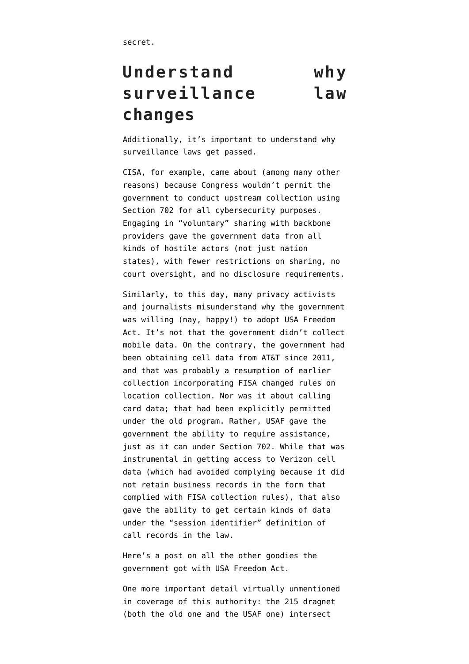## **Understand why surveillance law changes**

Additionally, it's important to understand why surveillance laws get passed.

CISA, for example, came about (among many other reasons) because Congress wouldn't permit the government to [conduct upstream collection using](https://www.emptywheel.net/2015/10/23/is-cisa-the-upstream-cyber-certificate-nsa-wanted-but-didnt-really-get/) [Section 702 for all cybersecurity purposes](https://www.emptywheel.net/2015/10/23/is-cisa-the-upstream-cyber-certificate-nsa-wanted-but-didnt-really-get/). Engaging in "voluntary" sharing with backbone providers gave the government data from all kinds of hostile actors (not just nation states), with fewer restrictions on sharing, no court oversight, and no disclosure requirements.

Similarly, to this day, many privacy activists and journalists misunderstand why the government was willing (nay, happy!) to adopt USA Freedom Act. It's not that the government didn't collect mobile data. On the contrary, the government [had](https://www.emptywheel.net/2015/08/15/att-pulled-cell-location-for-its-mobility-cell-data/) [been obtaining cell data from AT&T since 2011](https://www.emptywheel.net/2015/08/15/att-pulled-cell-location-for-its-mobility-cell-data/), and that was probably [a resumption of earlier](https://www.emptywheel.net/2016/01/08/what-we-know-about-the-section-215-phone-dragnet-and-location-data/) [collection](https://www.emptywheel.net/2016/01/08/what-we-know-about-the-section-215-phone-dragnet-and-location-data/) incorporating FISA changed rules on location collection. Nor was it about calling card data; that had been [explicitly permitted](https://www.emptywheel.net/2015/05/04/unlike-the-existing-phone-dragnet-usa-f-redux-does-not-include-telephony-in-its-definition-of-call-detail-record/) under the old program. Rather, USAF gave the government the ability to require assistance, just as it can under Section 702. While that was instrumental in getting access to Verizon cell data (which had avoided complying because it did not retain business records in the form that complied with FISA collection rules), that also gave the ability to get [certain kinds of data](https://www.emptywheel.net/2015/05/04/unlike-the-existing-phone-dragnet-usa-f-redux-does-not-include-telephony-in-its-definition-of-call-detail-record/) [under the "session identifier" definition of](https://www.emptywheel.net/2015/05/04/unlike-the-existing-phone-dragnet-usa-f-redux-does-not-include-telephony-in-its-definition-of-call-detail-record/) [call records](https://www.emptywheel.net/2015/05/04/unlike-the-existing-phone-dragnet-usa-f-redux-does-not-include-telephony-in-its-definition-of-call-detail-record/) in the law.

Here's a post [on all the other goodies](https://www.emptywheel.net/2015/11/20/10-goodies-usa-freedom-act-gives-the-intelligence-community/) the government got with USA Freedom Act.

One more important detail virtually unmentioned in coverage of this authority: the 215 dragnet (both [the old one](https://www.emptywheel.net/2013/12/03/federated-queries-and-eo-12333-fisc-workaround/) and [the USAF one](https://www.emptywheel.net/2016/01/15/nsa-privacy-officer-rebecca-richards-explains-what-connection-chaining-is/)) intersect